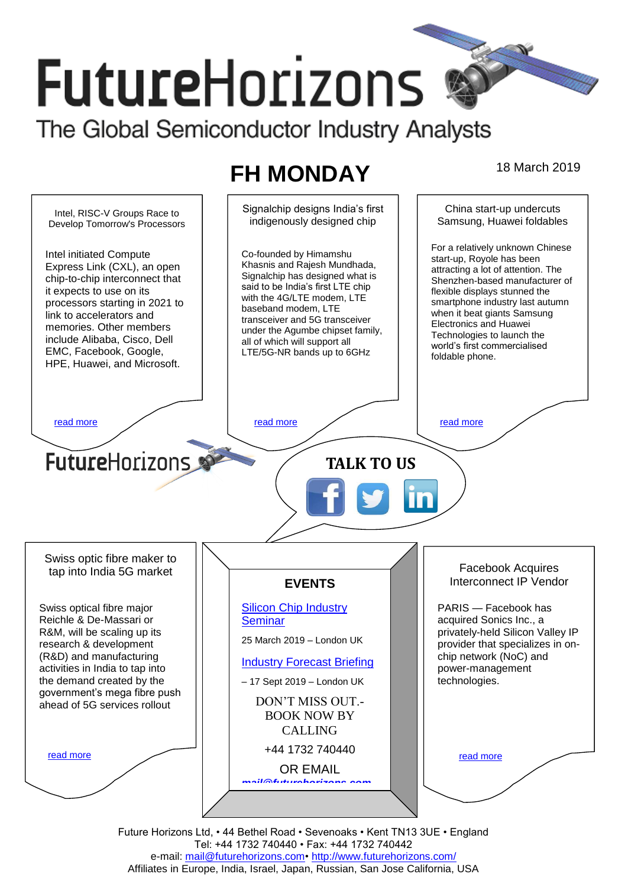# **FutureHorizons** The Global Semiconductor Industry Analysts

## **FH MONDAY** 18 March 2019

Signalchip designs India's first China start-up undercuts Intel, RISC-V Groups Race to indigenously designed chip Samsung, Huawei foldables Develop Tomorrow's Processors For a relatively unknown Chinese Intel initiated Compute Co-founded by Himamshu start-up, Royole has been Khasnis and Rajesh Mundhada, Express Link (CXL), an open attracting a lot of attention. The Signalchip has designed what is chip-to-chip interconnect that Shenzhen-based manufacturer of said to be India's first LTE chip flexible displays stunned the it expects to use on its with the 4G/LTE modem, LTE smartphone industry last autumn processors starting in 2021 to baseband modem, LTF when it beat giants Samsung link to accelerators and transceiver and 5G transceiver Electronics and Huawei memories. Other members under the Agumbe chipset family, Technologies to launch the include Alibaba, Cisco, Dell all of which will support all world's first commercialised EMC, Facebook, Google, LTE/5G-NR bands up to 6GHz foldable phone. HPE, Huawei, and Microsoft. [read more](#page-1-1) that the second contract the second read more that the read more that the read more that the read more **Future**Horizons **TALK TO US** Swiss optic fibre maker to Facebook Acquires tap into India 5G market Interconnect IP Vendor **EVENTS** [Silicon Chip Industry](http://www.futurehorizons.com/page/12/silicon-chip-training)  PARIS — Facebook has Swiss optical fibre major Reichle & De-Massari or **[Seminar](http://www.futurehorizons.com/page/12/silicon-chip-training)** acquired Sonics Inc., a R&M, will be scaling up its privately-held Silicon Valley IP 25 March 2019 – London UK research & development provider that specializes in on-(R&D) and manufacturing chip network (NoC) and [Industry Forecast Briefing](http://www.futurehorizons.com/page/13/Semiconductor-Market-Forecast-Seminar) activities in India to tap into power-management the demand created by the technologies. – 17 Sept 2019 – London UK government's mega fibre push DON'T MISS OUT. ahead of 5G services rolloutBOOK NOW BY CALLING +44 1732 740440 [read more](#page-1-3) [read more](#page-1-4) OR EMAIL *[mail@futurehorizons.com](mailto:mail@futurehorizons.com)*

Future Horizons Ltd, • 44 Bethel Road • Sevenoaks • Kent TN13 3UE • England Tel: +44 1732 740440 • Fax: +44 1732 740442 e-mail: mail@futurehorizons.com• http://www.futurehorizons.com/ Affiliates in Europe, India, Israel, Japan, Russian, San Jose California, USA